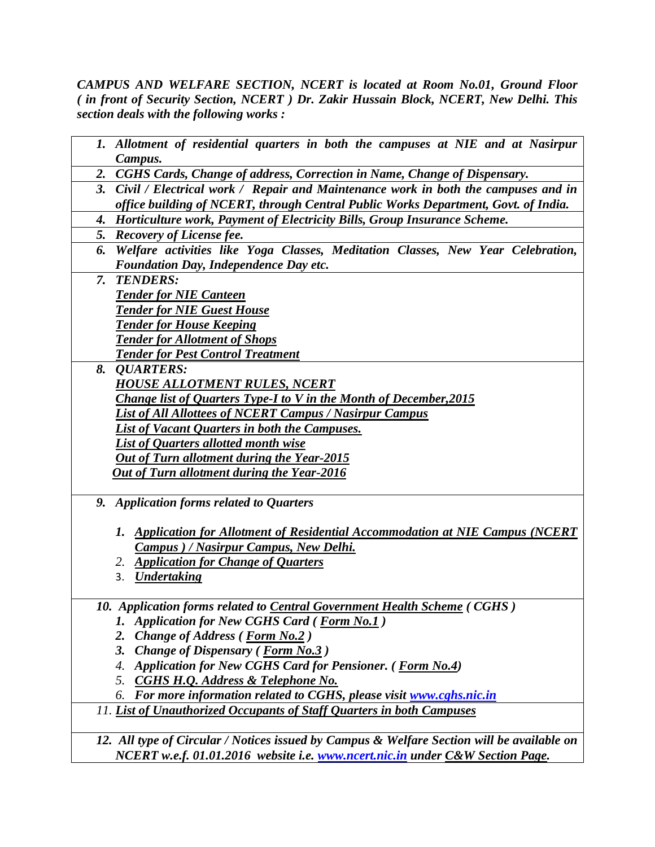*CAMPUS AND WELFARE SECTION, NCERT is located at Room No.01, Ground Floor ( in front of Security Section, NCERT ) Dr. Zakir Hussain Block, NCERT, New Delhi. This section deals with the following works :*

|    | 1. Allotment of residential quarters in both the campuses at NIE and at Nasirpur           |
|----|--------------------------------------------------------------------------------------------|
|    | Campus.                                                                                    |
|    | 2. CGHS Cards, Change of address, Correction in Name, Change of Dispensary.                |
| 3. | Civil / Electrical work / Repair and Maintenance work in both the campuses and in          |
|    | office building of NCERT, through Central Public Works Department, Govt. of India.         |
| 4. | Horticulture work, Payment of Electricity Bills, Group Insurance Scheme.                   |
|    | 5. Recovery of License fee.                                                                |
| 6. | Welfare activities like Yoga Classes, Meditation Classes, New Year Celebration,            |
|    | Foundation Day, Independence Day etc.                                                      |
| 7. | <b>TENDERS:</b>                                                                            |
|    | <b>Tender for NIE Canteen</b>                                                              |
|    | <b>Tender for NIE Guest House</b>                                                          |
|    | <b>Tender for House Keeping</b>                                                            |
|    | <b>Tender for Allotment of Shops</b>                                                       |
|    | <b>Tender for Pest Control Treatment</b>                                                   |
| 8. | <b>QUARTERS:</b>                                                                           |
|    | <b>HOUSE ALLOTMENT RULES, NCERT</b>                                                        |
|    | <b>Change list of Quarters Type-I to V in the Month of December, 2015</b>                  |
|    | <b>List of All Allottees of NCERT Campus / Nasirpur Campus</b>                             |
|    | <b>List of Vacant Quarters in both the Campuses.</b>                                       |
|    | List of Quarters allotted month wise                                                       |
|    | <b>Out of Turn allotment during the Year-2015</b>                                          |
|    | <b>Out of Turn allotment during the Year-2016</b>                                          |
|    |                                                                                            |
|    | 9. Application forms related to Quarters                                                   |
|    |                                                                                            |
|    | 1. Application for Allotment of Residential Accommodation at NIE Campus (NCERT             |
|    | <b>Campus</b> ) / Nasirpur Campus, New Delhi.                                              |
|    | <b>Application for Change of Quarters</b><br>2.                                            |
|    | <b>Undertaking</b><br>3.                                                                   |
|    |                                                                                            |
|    | 10. Application forms related to Central Government Health Scheme (CGHS)                   |
|    | <b>Application for New CGHS Card (Form No.1)</b><br>1.                                     |
|    | <b>Change of Address (Form No.2)</b><br>2.                                                 |
|    | 3.<br><b>Change of Dispensary (Form No.3)</b>                                              |
|    | <b>Application for New CGHS Card for Pensioner.</b> ( <i>Form No.4</i> )<br>4.             |
|    | <b>CGHS H.Q. Address &amp; Telephone No.</b><br>5.                                         |
|    | For more information related to CGHS, please visit www.cghs.nic.in<br>6.                   |
|    | 11. List of Unauthorized Occupants of Staff Quarters in both Campuses                      |
|    |                                                                                            |
|    | 12. All type of Circular / Notices issued by Campus & Welfare Section will be available on |

*NCERT w.e.f. 01.01.2016 website i.e. [www.ncert.nic.in](http://www.ncert.nic.in/) under C&W Section Page.*